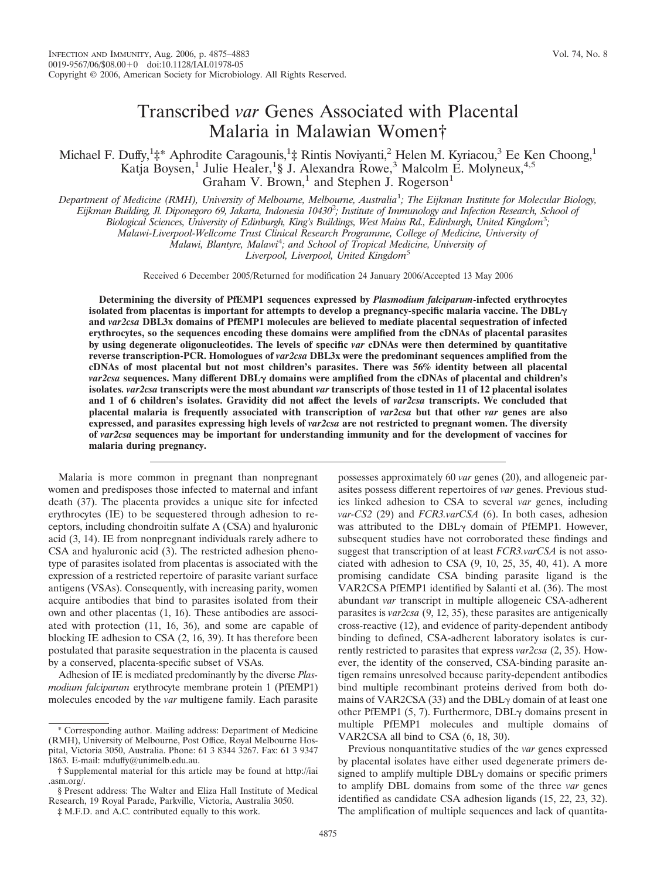# Transcribed *var* Genes Associated with Placental Malaria in Malawian Women†

Michael F. Duffy,<sup>1</sup><sup>+\*</sup> Aphrodite Caragounis,<sup>1</sup><sup>+</sup> Rintis Noviyanti,<sup>2</sup> Helen M. Kyriacou,<sup>3</sup> Ee Ken Choong,<sup>1</sup> Katja Boysen,<sup>1</sup> Julie Healer,<sup>1</sup>§ J. Alexandra Rowe,<sup>3</sup> Malcolm E. Molyneux,<sup>4,5</sup> Graham V. Brown,<sup>1</sup> and Stephen J. Rogerson<sup>1</sup>

*Department of Medicine (RMH), University of Melbourne, Melbourne, Australia*<sup>1</sup> *; The Eijkman Institute for Molecular Biology, Eijkman Building, Jl. Diponegoro 69, Jakarta, Indonesia 10430*<sup>2</sup> *; Institute of Immunology and Infection Research, School of*

*Biological Sciences, University of Edinburgh, King's Buildings, West Mains Rd., Edinburgh, United Kingdom*<sup>3</sup> *;*

*Malawi-Liverpool-Wellcome Trust Clinical Research Programme, College of Medicine, University of*

*Malawi, Blantyre, Malawi*<sup>4</sup> *; and School of Tropical Medicine, University of*

*Liverpool, Liverpool, United Kingdom*<sup>5</sup>

Received 6 December 2005/Returned for modification 24 January 2006/Accepted 13 May 2006

**Determining the diversity of PfEMP1 sequences expressed by** *Plasmodium falciparum***-infected erythrocytes isolated from placentas is important for attempts to develop a pregnancy-specific malaria vaccine. The DBL and** *var2csa* **DBL3x domains of PfEMP1 molecules are believed to mediate placental sequestration of infected erythrocytes, so the sequences encoding these domains were amplified from the cDNAs of placental parasites by using degenerate oligonucleotides. The levels of specific** *var* **cDNAs were then determined by quantitative reverse transcription-PCR. Homologues of** *var2csa* **DBL3x were the predominant sequences amplified from the cDNAs of most placental but not most children's parasites. There was 56% identity between all placental** *var2csa* sequences. Many different DBL<sub>Y</sub> domains were amplified from the cDNAs of placental and children's **isolates***. var2csa* **transcripts were the most abundant** *var* **transcripts of those tested in 11 of 12 placental isolates and 1 of 6 children's isolates. Gravidity did not affect the levels of** *var2csa* **transcripts. We concluded that placental malaria is frequently associated with transcription of** *var2csa* **but that other** *var* **genes are also expressed, and parasites expressing high levels of** *var2csa* **are not restricted to pregnant women. The diversity of** *var2csa* **sequences may be important for understanding immunity and for the development of vaccines for malaria during pregnancy.**

Malaria is more common in pregnant than nonpregnant women and predisposes those infected to maternal and infant death (37). The placenta provides a unique site for infected erythrocytes (IE) to be sequestered through adhesion to receptors, including chondroitin sulfate A (CSA) and hyaluronic acid (3, 14). IE from nonpregnant individuals rarely adhere to CSA and hyaluronic acid (3). The restricted adhesion phenotype of parasites isolated from placentas is associated with the expression of a restricted repertoire of parasite variant surface antigens (VSAs). Consequently, with increasing parity, women acquire antibodies that bind to parasites isolated from their own and other placentas (1, 16). These antibodies are associated with protection (11, 16, 36), and some are capable of blocking IE adhesion to CSA (2, 16, 39). It has therefore been postulated that parasite sequestration in the placenta is caused by a conserved, placenta-specific subset of VSAs.

Adhesion of IE is mediated predominantly by the diverse *Plasmodium falciparum* erythrocyte membrane protein 1 (PfEMP1) molecules encoded by the *var* multigene family. Each parasite

possesses approximately 60 *var* genes (20), and allogeneic parasites possess different repertoires of *var* genes. Previous studies linked adhesion to CSA to several *var* genes, including *var-CS2* (29) and *FCR3.varCSA* (6). In both cases, adhesion was attributed to the DBL $\gamma$  domain of PfEMP1. However, subsequent studies have not corroborated these findings and suggest that transcription of at least *FCR3.varCSA* is not associated with adhesion to CSA (9, 10, 25, 35, 40, 41). A more promising candidate CSA binding parasite ligand is the VAR2CSA PfEMP1 identified by Salanti et al. (36). The most abundant *var* transcript in multiple allogeneic CSA-adherent parasites is *var2csa* (9, 12, 35), these parasites are antigenically cross-reactive (12), and evidence of parity-dependent antibody binding to defined, CSA-adherent laboratory isolates is currently restricted to parasites that express *var2csa* (2, 35). However, the identity of the conserved, CSA-binding parasite antigen remains unresolved because parity-dependent antibodies bind multiple recombinant proteins derived from both domains of VAR2CSA (33) and the  $DBL<sub>\gamma</sub>$  domain of at least one other PfEMP1  $(5, 7)$ . Furthermore, DBL $\gamma$  domains present in multiple PfEMP1 molecules and multiple domains of VAR2CSA all bind to CSA (6, 18, 30).

Previous nonquantitative studies of the *var* genes expressed by placental isolates have either used degenerate primers designed to amplify multiple  $DBL<sub>\gamma</sub>$  domains or specific primers to amplify DBL domains from some of the three *var* genes identified as candidate CSA adhesion ligands (15, 22, 23, 32). The amplification of multiple sequences and lack of quantita-

<sup>\*</sup> Corresponding author. Mailing address: Department of Medicine (RMH), University of Melbourne, Post Office, Royal Melbourne Hospital, Victoria 3050, Australia. Phone: 61 3 8344 3267. Fax: 61 3 9347 1863. E-mail: mduffy@unimelb.edu.au.

<sup>†</sup> Supplemental material for this article may be found at http://iai .asm.org/.

<sup>§</sup> Present address: The Walter and Eliza Hall Institute of Medical Research, 19 Royal Parade, Parkville, Victoria, Australia 3050.

<sup>‡</sup> M.F.D. and A.C. contributed equally to this work.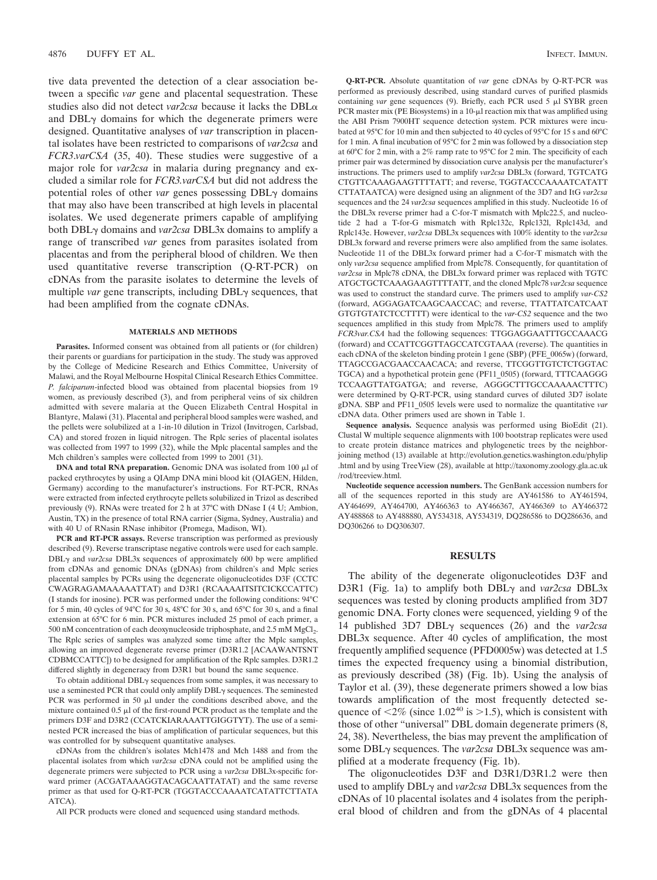tive data prevented the detection of a clear association between a specific *var* gene and placental sequestration. These studies also did not detect *var2csa* because it lacks the DBL and  $DBL<sub>\gamma</sub>$  domains for which the degenerate primers were designed. Quantitative analyses of *var* transcription in placental isolates have been restricted to comparisons of *var2csa* and *FCR3*.*varCSA* (35, 40). These studies were suggestive of a major role for *var2csa* in malaria during pregnancy and excluded a similar role for *FCR3.varCSA* but did not address the potential roles of other *var* genes possessing  $DBL<sub>\gamma</sub>$  domains that may also have been transcribed at high levels in placental isolates. We used degenerate primers capable of amplifying both DBLγ domains and *var2csa* DBL3x domains to amplify a range of transcribed *var* genes from parasites isolated from placentas and from the peripheral blood of children. We then used quantitative reverse transcription (Q-RT-PCR) on cDNAs from the parasite isolates to determine the levels of multiple *var* gene transcripts, including DBL $\gamma$  sequences, that had been amplified from the cognate cDNAs.

## **MATERIALS AND METHODS**

**Parasites.** Informed consent was obtained from all patients or (for children) their parents or guardians for participation in the study. The study was approved by the College of Medicine Research and Ethics Committee, University of Malawi, and the Royal Melbourne Hospital Clinical Research Ethics Committee. *P. falciparum*-infected blood was obtained from placental biopsies from 19 women, as previously described (3), and from peripheral veins of six children admitted with severe malaria at the Queen Elizabeth Central Hospital in Blantyre, Malawi (31). Placental and peripheral blood samples were washed, and the pellets were solubilized at a 1-in-10 dilution in Trizol (Invitrogen, Carlsbad, CA) and stored frozen in liquid nitrogen. The Rplc series of placental isolates was collected from 1997 to 1999 (32), while the Mplc placental samples and the Mch children's samples were collected from 1999 to 2001 (31).

**DNA and total RNA preparation.** Genomic DNA was isolated from 100  $\mu$ l of packed erythrocytes by using a QIAmp DNA mini blood kit (QIAGEN, Hilden, Germany) according to the manufacturer's instructions. For RT-PCR, RNAs were extracted from infected erythrocyte pellets solubilized in Trizol as described previously (9). RNAs were treated for 2 h at 37°C with DNase I (4 U; Ambion, Austin, TX) in the presence of total RNA carrier (Sigma, Sydney, Australia) and with 40 U of RNasin RNase inhibitor (Promega, Madison, WI).

**PCR and RT-PCR assays.** Reverse transcription was performed as previously described (9). Reverse transcriptase negative controls were used for each sample.  $DBL<sub>Y</sub>$  and *var2csa* DBL3x sequences of approximately 600 bp were amplified from cDNAs and genomic DNAs (gDNAs) from children's and Mplc series placental samples by PCRs using the degenerate oligonucleotides D3F (CCTC CWAGRAGAMAAAAATTAT) and D3R1 (RCAAAAITSITCICKCCATTC) (I stands for inosine). PCR was performed under the following conditions: 94°C for 5 min, 40 cycles of 94°C for 30 s, 48°C for 30 s, and 65°C for 30 s, and a final extension at 65°C for 6 min. PCR mixtures included 25 pmol of each primer, a 500 nM concentration of each deoxynucleoside triphosphate, and 2.5 mM MgCl<sub>2</sub>. The Rplc series of samples was analyzed some time after the Mplc samples, allowing an improved degenerate reverse primer (D3R1.2 [ACAAWANTSNT CDBMCCATTC]) to be designed for amplification of the Rplc samples. D3R1.2 differed slightly in degeneracy from D3R1 but bound the same sequence.

To obtain additional  $DBL<sub>Y</sub>$  sequences from some samples, it was necessary to use a seminested PCR that could only amplify  $DBL<sub>Y</sub>$  sequences. The seminested PCR was performed in 50  $\mu$ l under the conditions described above, and the mixture contained  $0.5 \mu$ l of the first-round PCR product as the template and the primers D3F and D3R2 (CCATCKIARAAATTGIGGTYT). The use of a seminested PCR increased the bias of amplification of particular sequences, but this was controlled for by subsequent quantitative analyses.

cDNAs from the children's isolates Mch1478 and Mch 1488 and from the placental isolates from which *var2csa* cDNA could not be amplified using the degenerate primers were subjected to PCR using a *var2csa* DBL3x-specific forward primer (ACGATAAAGGTACAGCAATTATAT) and the same reverse primer as that used for Q-RT-PCR (TGGTACCCAAAATCATATTCTTATA ATCA).

All PCR products were cloned and sequenced using standard methods.

**Q-RT-PCR.** Absolute quantitation of *var* gene cDNAs by Q-RT-PCR was performed as previously described, using standard curves of purified plasmids containing *var* gene sequences (9). Briefly, each PCR used 5 µl SYBR green PCR master mix (PE Biosystems) in a  $10$ - $\mu$ l reaction mix that was amplified using the ABI Prism 7900HT sequence detection system. PCR mixtures were incubated at 95°C for 10 min and then subjected to 40 cycles of 95°C for 15 s and 60°C for 1 min. A final incubation of 95°C for 2 min was followed by a dissociation step at 60°C for 2 min, with a 2% ramp rate to 95°C for 2 min. The specificity of each primer pair was determined by dissociation curve analysis per the manufacturer's instructions. The primers used to amplify *var2csa* DBL3x (forward, TGTCATG CTGTTCAAAGAAGTTTTATT; and reverse, TGGTACCCAAAATCATATT CTTATAATCA) were designed using an alignment of the 3D7 and ItG *var2csa* sequences and the 24 *var2csa* sequences amplified in this study. Nucleotide 16 of the DBL3x reverse primer had a C-for-T mismatch with Mplc22.5, and nucleotide 2 had a T-for-G mismatch with Rplc132c, Rplc132l, Rplc143d, and Rplc143e. However, *var2csa* DBL3x sequences with 100% identity to the *var2csa* DBL3x forward and reverse primers were also amplified from the same isolates. Nucleotide 11 of the DBL3x forward primer had a C-for-T mismatch with the only *var2csa* sequence amplified from Mplc78. Consequently, for quantitation of *var2csa* in Mplc78 cDNA, the DBL3x forward primer was replaced with TGTC ATGCTGCTCAAAGAAGTTTTATT, and the cloned Mplc78 *var2csa* sequence was used to construct the standard curve. The primers used to amplify *var-CS2* (forward, AGGAGATCAAGCAACCAC; and reverse, TTATTATCATCAAT GTGTGTATCTCCTTTT) were identical to the *var-CS2* sequence and the two sequences amplified in this study from Mplc78. The primers used to amplify *FCR3var.CSA* had the following sequences: TTGGAGGAATTTGCCAAACG (forward) and CCATTCGGTTAGCCATCGTAAA (reverse). The quantities in each cDNA of the skeleton binding protein 1 gene (SBP) (PFE\_0065w) (forward, TTAGCCGACGAACCAACACA; and reverse, TTCGGTTGTCTCTGGTAC TGCA) and a hypothetical protein gene (PF11\_0505) (forward, TTTCAAGGG TCCAAGTTATGATGA; and reverse, AGGGCTTTGCCAAAAACTTTC) were determined by Q-RT-PCR, using standard curves of diluted 3D7 isolate gDNA. SBP and PF11\_0505 levels were used to normalize the quantitative *var* cDNA data. Other primers used are shown in Table 1.

**Sequence analysis.** Sequence analysis was performed using BioEdit (21). Clustal W multiple sequence alignments with 100 bootstrap replicates were used to create protein distance matrices and phylogenetic trees by the neighborjoining method (13) available at http://evolution.genetics.washington.edu/phylip .html and by using TreeView (28), available at http://taxonomy.zoology.gla.ac.uk /rod/treeview.html.

**Nucleotide sequence accession numbers.** The GenBank accession numbers for all of the sequences reported in this study are AY461586 to AY461594, AY464699, AY464700, AY466363 to AY466367, AY466369 to AY466372 AY488868 to AY488880, AY534318, AY534319, DQ286586 to DQ286636, and DQ306266 to DQ306307.

## **RESULTS**

The ability of the degenerate oligonucleotides D3F and D3R1 (Fig. 1a) to amplify both DBLγ and *var2csa* DBL3x sequences was tested by cloning products amplified from 3D7 genomic DNA. Forty clones were sequenced, yielding 9 of the 14 published 3D7 DBL<sub>γ</sub> sequences (26) and the *var2csa* DBL3x sequence. After 40 cycles of amplification, the most frequently amplified sequence (PFD0005w) was detected at 1.5 times the expected frequency using a binomial distribution, as previously described (38) (Fig. 1b). Using the analysis of Taylor et al. (39), these degenerate primers showed a low bias towards amplification of the most frequently detected sequence of  $\langle 2\%$  (since 1.02<sup>40</sup> is  $>$ 1.5), which is consistent with those of other "universal" DBL domain degenerate primers (8, 24, 38). Nevertheless, the bias may prevent the amplification of some DBLγ sequences. The *var2csa* DBL3x sequence was amplified at a moderate frequency (Fig. 1b).

The oligonucleotides D3F and D3R1/D3R1.2 were then used to amplify DBL<sub>γ</sub> and *var2csa* DBL3x sequences from the cDNAs of 10 placental isolates and 4 isolates from the peripheral blood of children and from the gDNAs of 4 placental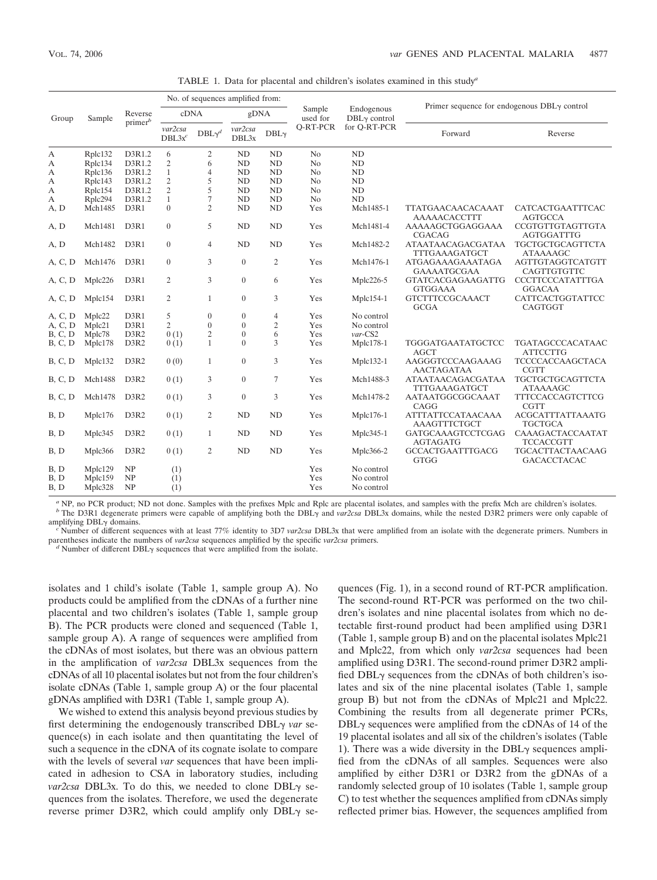| TABLE 1. Data for placental and children's isolates examined in this study <sup>a</sup> |         |                               |                                  |                  |                  |                  |                    |                              |                                                    |                                           |  |
|-----------------------------------------------------------------------------------------|---------|-------------------------------|----------------------------------|------------------|------------------|------------------|--------------------|------------------------------|----------------------------------------------------|-------------------------------------------|--|
| Group                                                                                   | Sample  | Reverse<br>prime <sup>b</sup> | No. of sequences amplified from: |                  |                  |                  |                    |                              |                                                    |                                           |  |
|                                                                                         |         |                               | cDNA                             |                  | gDNA             |                  | Sample<br>used for | Endogenous<br>$DBLY$ control | Primer sequence for endogenous $DBL\gamma$ control |                                           |  |
|                                                                                         |         |                               | var2csa<br>$DBL3x^c$             | $DBL\gamma^d$    | var2csa<br>DBL3x | DBL <sub>Y</sub> | <b>O-RT-PCR</b>    | for O-RT-PCR                 | Forward                                            | Reverse                                   |  |
| А                                                                                       | Rplc132 | D3R1.2                        | 6                                | 2                | <b>ND</b>        | <b>ND</b>        | N <sub>0</sub>     | ND                           |                                                    |                                           |  |
| А                                                                                       | Rplc134 | D3R1.2                        | 2                                | 6                | <b>ND</b>        | ND               | No                 | ND                           |                                                    |                                           |  |
| А                                                                                       | Rplc136 | D3R1.2                        | 1                                | $\overline{4}$   | <b>ND</b>        | ND               | N <sub>0</sub>     | <b>ND</b>                    |                                                    |                                           |  |
| А                                                                                       | Rplc143 | D3R1.2                        | 2                                | 5                | ND               | <b>ND</b>        | No                 | <b>ND</b>                    |                                                    |                                           |  |
| А                                                                                       | Rplc154 | D3R1.2                        | $\overline{2}$                   | 5                | ND               | <b>ND</b>        | No                 | ND                           |                                                    |                                           |  |
| А                                                                                       | Rplc294 | D3R1.2                        | $\mathbf{1}$                     | $\tau$           | <b>ND</b>        | ND               | No                 | <b>ND</b>                    |                                                    |                                           |  |
| A, D                                                                                    | Mch1485 | D3R1                          | $\overline{0}$                   | 2                | ND               | ND               | Yes                | Mch1485-1                    | TTATGAACAACACAAAT<br>AAAAACACCTTT                  | CATCACTGAATTTCAC<br><b>AGTGCCA</b>        |  |
| A, D                                                                                    | Mch1481 | D3R1                          | $\boldsymbol{0}$                 | 5                | ND               | <b>ND</b>        | Yes                | Mch1481-4                    | AAAAAGCTGGAGGAAA<br><b>CGACAG</b>                  | CCGTGTTGTAGTTGTA<br>AGTGGATTTG            |  |
| A, D                                                                                    | Mch1482 | D3R1                          | $\overline{0}$                   | $\overline{4}$   | ND               | <b>ND</b>        | Yes                | Mch1482-2                    | ATAATAACAGACGATAA<br>TTTGAAAGATGCT                 | TGCTGCTGCAGTTCTA<br><b>ATAAAAGC</b>       |  |
| A, C, D                                                                                 | Mch1476 | D3R1                          | $\boldsymbol{0}$                 | 3                | $\boldsymbol{0}$ | $\overline{c}$   | Yes                | Mch1476-1                    | ATGAGAAAGAAATAGA<br><b>GAAAATGCGAA</b>             | AGTTGTAGGTCATGTT<br>CAGTTGTGTTC           |  |
| A, C, D                                                                                 | Mplc226 | D3R1                          | $\overline{c}$                   | 3                | $\theta$         | 6                | Yes                | Mplc226-5                    | <b>GTATCACGAGAAGATTG</b><br><b>GTGGAAA</b>         | <b>CCCTTCCCATATTTGA</b><br><b>GGACAA</b>  |  |
| A, C, D                                                                                 | Mplc154 | D3R1                          | 2                                | $\mathbf{1}$     | $\theta$         | 3                | Yes                | $Mplc154-1$                  | <b>GTCTTTCCGCAAACT</b><br><b>GCGA</b>              | CATTCACTGGTATTCC<br>CAGTGGT               |  |
| A, C, D                                                                                 | Mplc22  | D3R1                          | 5                                | $\mathbf{0}$     | $\theta$         | $\overline{4}$   | Yes                | No control                   |                                                    |                                           |  |
| A, C, D                                                                                 | Mplc21  | D3R1                          | $\overline{2}$                   | $\boldsymbol{0}$ | $\overline{0}$   | $\overline{c}$   | Yes                | No control                   |                                                    |                                           |  |
| B, C, D                                                                                 | Mplc78  | D3R2                          | 0(1)                             | $\overline{c}$   | $\theta$         | 6                | Yes                | $var$ CS2                    |                                                    |                                           |  |
| B, C, D                                                                                 | Mplc178 | D3R2                          | 0(1)                             | $\mathbf{1}$     | $\theta$         | 3                | Yes                | Mplc178-1                    | TGGGATGAATATGCTCC<br><b>AGCT</b>                   | TGATAGCCCACATAAC<br><b>ATTCCTTG</b>       |  |
| <b>B</b> , C, D                                                                         | Mplc132 | D3R2                          | 0(0)                             | $\mathbf{1}$     | $\theta$         | 3                | Yes                | Mplc132-1                    | AAGGGTCCCAAGAAAG<br><b>AACTAGATAA</b>              | TCCCCACCAAGCTACA<br><b>CGTT</b>           |  |
| B, C, D                                                                                 | Mch1488 | D3R2                          | 0(1)                             | 3                | $\theta$         | 7                | Yes                | Mch1488-3                    | ATAATAACAGACGATAA<br>TTTGAAAGATGCT                 | TGCTGCTGCAGTTCTA<br><b>ATAAAAGC</b>       |  |
| B, C, D                                                                                 | Mch1478 | D3R2                          | 0(1)                             | 3                | $\theta$         | 3                | Yes                | Mch1478-2                    | AATAATGGCGGCAAAT<br>CAGG                           | TTTCCACCAGTCTTCG<br><b>CGTT</b>           |  |
| B, D                                                                                    | Mplc176 | D3R2                          | 0(1)                             | 2                | ND               | ND               | Yes                | Mplc176-1                    | <b>ATTTATTCCATAACAAA</b><br>AAAGTTTCTGCT           | <b>ACGCATTTATTAAATG</b><br><b>TGCTGCA</b> |  |
| B, D                                                                                    | Mplc345 | D3R2                          | 0(1)                             | $\mathbf{1}$     | <b>ND</b>        | ND               | Yes                | $Mple345-1$                  | GATGCAAAGTCCTCGAG<br><b>AGTAGATG</b>               | CAAAGACTACCAATAT<br>TCCACCGTT             |  |
| B, D                                                                                    | Mplc366 | D3R2                          | 0(1)                             | $\overline{2}$   | <b>ND</b>        | ND               | Yes                | Mplc366-2                    | <b>GCCACTGAATTTGACG</b><br><b>GTGG</b>             | TGCACTTACTAACAAG<br><b>GACACCTACAC</b>    |  |

*<sup>a</sup>* NP, no PCR product; ND not done. Samples with the prefixes Mplc and Rplc are placental isolates, and samples with the prefix Mch are children's isolates. <sup>*b*</sup> The D3R1 degenerate primers were capable of amplifying both the DBL $\gamma$  and *var2csa* DBL3x domains, while the nested D3R2 primers were only capable of amplifying  $DBL<sub>2</sub>$  domains

Number of different sequences with at least 77% identity to 3D7 *var2csa* DBL3x that were amplified from an isolate with the degenerate primers. Numbers in parentheses indicate the numbers of *var2csa* sequences amplified by the specific *var2csa* primers.

Number of different  $DBLy$  sequences that were amplified from the isolate.

B, D Mplc129 NP (1) Yes No control B, D Mplc159 NP (1) Yes No control B, D Mplc328 NP (1) Yes No control

isolates and 1 child's isolate (Table 1, sample group A). No products could be amplified from the cDNAs of a further nine placental and two children's isolates (Table 1, sample group B). The PCR products were cloned and sequenced (Table 1, sample group A). A range of sequences were amplified from the cDNAs of most isolates, but there was an obvious pattern in the amplification of *var2csa* DBL3x sequences from the cDNAs of all 10 placental isolates but not from the four children's isolate cDNAs (Table 1, sample group A) or the four placental gDNAs amplified with D3R1 (Table 1, sample group A).

We wished to extend this analysis beyond previous studies by first determining the endogenously transcribed  $DBL<sub>\gamma</sub>$  var sequence(s) in each isolate and then quantitating the level of such a sequence in the cDNA of its cognate isolate to compare with the levels of several *var* sequences that have been implicated in adhesion to CSA in laboratory studies, including  $var2csa$  DBL3x. To do this, we needed to clone DBL $\gamma$  sequences from the isolates. Therefore, we used the degenerate reverse primer D3R2, which could amplify only  $DBL\gamma$  sequences (Fig. 1), in a second round of RT-PCR amplification. The second-round RT-PCR was performed on the two children's isolates and nine placental isolates from which no detectable first-round product had been amplified using D3R1 (Table 1, sample group B) and on the placental isolates Mplc21 and Mplc22, from which only *var2csa* sequences had been amplified using D3R1. The second-round primer D3R2 amplified  $DBL<sub>\gamma</sub>$  sequences from the cDNAs of both children's isolates and six of the nine placental isolates (Table 1, sample group B) but not from the cDNAs of Mplc21 and Mplc22. Combining the results from all degenerate primer PCRs,  $DBL<sub>Y</sub>$  sequences were amplified from the cDNAs of 14 of the 19 placental isolates and all six of the children's isolates (Table 1). There was a wide diversity in the  $DBL<sub>\gamma</sub>$  sequences amplified from the cDNAs of all samples. Sequences were also amplified by either D3R1 or D3R2 from the gDNAs of a randomly selected group of 10 isolates (Table 1, sample group C) to test whether the sequences amplified from cDNAs simply reflected primer bias. However, the sequences amplified from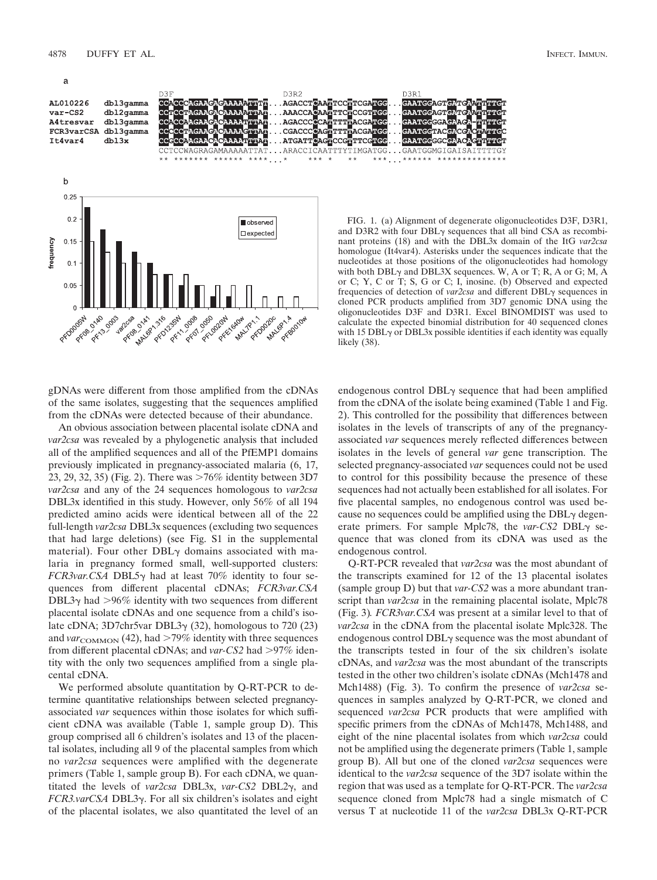a



gDNAs were different from those amplified from the cDNAs of the same isolates, suggesting that the sequences amplified from the cDNAs were detected because of their abundance.

An obvious association between placental isolate cDNA and *var2csa* was revealed by a phylogenetic analysis that included all of the amplified sequences and all of the PfEMP1 domains previously implicated in pregnancy-associated malaria (6, 17, 23, 29, 32, 35) (Fig. 2). There was  $>76\%$  identity between 3D7 *var2csa* and any of the 24 sequences homologous to *var2csa* DBL3x identified in this study. However, only 56% of all 194 predicted amino acids were identical between all of the 22 full-length *var2csa* DBL3x sequences (excluding two sequences that had large deletions) (see Fig. S1 in the supplemental material). Four other  $DBL<sub>\gamma</sub>$  domains associated with malaria in pregnancy formed small, well-supported clusters:  $FCR3var.CSA DBL5\gamma$  had at least 70% identity to four sequences from different placental cDNAs; *FCR3var.CSA* DBL3 $\gamma$  had  $>$ 96% identity with two sequences from different placental isolate cDNAs and one sequence from a child's isolate cDNA;  $3D7chr5var DBL3\gamma$  (32), homologous to 720 (23) and  $var_{\text{COMMON}}$  (42), had  $>79\%$  identity with three sequences from different placental cDNAs; and *var-CS2* had >97% identity with the only two sequences amplified from a single placental cDNA.

We performed absolute quantitation by Q-RT-PCR to determine quantitative relationships between selected pregnancyassociated *var* sequences within those isolates for which sufficient cDNA was available (Table 1, sample group D). This group comprised all 6 children's isolates and 13 of the placental isolates, including all 9 of the placental samples from which no *var2csa* sequences were amplified with the degenerate primers (Table 1, sample group B). For each cDNA, we quantitated the levels of *var2csa* DBL3x, *var-CS2* DBL2 $\gamma$ , and *FCR3.varCSA* DBL3γ. For all six children's isolates and eight of the placental isolates, we also quantitated the level of an

FIG. 1. (a) Alignment of degenerate oligonucleotides D3F, D3R1, and D3R2 with four  $DBL<sub>Y</sub>$  sequences that all bind CSA as recombinant proteins (18) and with the DBL3x domain of the ItG *var2csa* homologue (It4var4). Asterisks under the sequences indicate that the nucleotides at those positions of the oligonucleotides had homology with both  $DBL<sub>Y</sub>$  and  $DBL3X$  sequences. W, A or T; R, A or G; M, A or C; Y, C or T; S, G or C; I, inosine. (b) Observed and expected frequencies of detection of *var2csa* and different  $DBL<sub>Y</sub>$  sequences in cloned PCR products amplified from 3D7 genomic DNA using the oligonucleotides D3F and D3R1. Excel BINOMDIST was used to calculate the expected binomial distribution for 40 sequenced clones with 15 DBL $\gamma$  or DBL3x possible identities if each identity was equally likely (38).

endogenous control  $DBL<sub>\gamma</sub>$  sequence that had been amplified from the cDNA of the isolate being examined (Table 1 and Fig. 2). This controlled for the possibility that differences between isolates in the levels of transcripts of any of the pregnancyassociated *var* sequences merely reflected differences between isolates in the levels of general *var* gene transcription. The selected pregnancy-associated *var* sequences could not be used to control for this possibility because the presence of these sequences had not actually been established for all isolates. For five placental samples, no endogenous control was used because no sequences could be amplified using the  $DBL<sub>\gamma</sub>$  degenerate primers. For sample Mplc78, the *var-CS2* DBL $\gamma$  sequence that was cloned from its cDNA was used as the endogenous control.

Q-RT-PCR revealed that *var2csa* was the most abundant of the transcripts examined for 12 of the 13 placental isolates (sample group D) but that *var-CS2* was a more abundant transcript than *var2csa* in the remaining placental isolate, Mplc78 (Fig. 3)*. FCR3var.CSA* was present at a similar level to that of *var2csa* in the cDNA from the placental isolate Mplc328. The endogenous control  $DBL<sub>\gamma</sub>$  sequence was the most abundant of the transcripts tested in four of the six children's isolate cDNAs, and *var2csa* was the most abundant of the transcripts tested in the other two children's isolate cDNAs (Mch1478 and Mch1488) (Fig. 3). To confirm the presence of *var2csa* sequences in samples analyzed by Q-RT-PCR, we cloned and sequenced *var2csa* PCR products that were amplified with specific primers from the cDNAs of Mch1478, Mch1488, and eight of the nine placental isolates from which *var2csa* could not be amplified using the degenerate primers (Table 1, sample group B). All but one of the cloned *var2csa* sequences were identical to the *var2csa* sequence of the 3D7 isolate within the region that was used as a template for Q-RT-PCR. The *var2csa* sequence cloned from Mplc78 had a single mismatch of C versus T at nucleotide 11 of the *var2csa* DBL3x Q-RT-PCR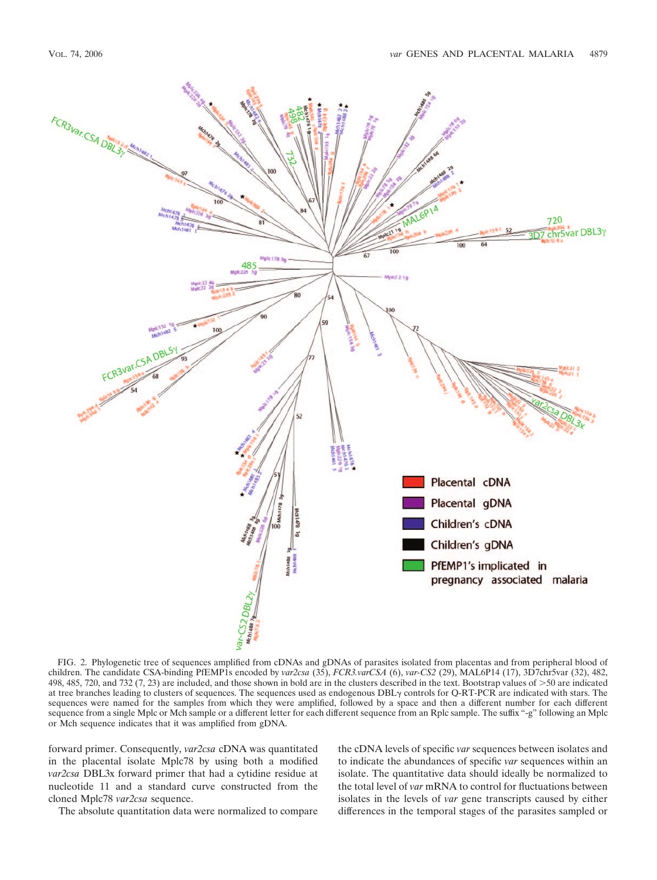

FIG. 2. Phylogenetic tree of sequences amplified from cDNAs and gDNAs of parasites isolated from placentas and from peripheral blood of children. The candidate CSA-binding PfEMP1s encoded by *var2csa* (35), *FCR3.varCSA* (6), *var-CS2* (29), MAL6P14 (17), 3D7chr5var (32), 482, 498, 485, 720, and 732 (7, 23) are included, and those shown in bold are in the clusters described in the text. Bootstrap values of 50 are indicated at tree branches leading to clusters of sequences. The sequences used as endogenous  $DBL<sub>\gamma</sub>$  controls for Q-RT-PCR are indicated with stars. The sequences were named for the samples from which they were amplified, followed by a space and then a different number for each different sequence from a single Mplc or Mch sample or a different letter for each different sequence from an Rplc sample. The suffix "-g" following an Mplc or Mch sequence indicates that it was amplified from gDNA.

forward primer. Consequently, *var2csa* cDNA was quantitated in the placental isolate Mplc78 by using both a modified *var2csa* DBL3x forward primer that had a cytidine residue at nucleotide 11 and a standard curve constructed from the cloned Mplc78 *var2csa* sequence.

The absolute quantitation data were normalized to compare

the cDNA levels of specific *var* sequences between isolates and to indicate the abundances of specific *var* sequences within an isolate. The quantitative data should ideally be normalized to the total level of *var* mRNA to control for fluctuations between isolates in the levels of *var* gene transcripts caused by either differences in the temporal stages of the parasites sampled or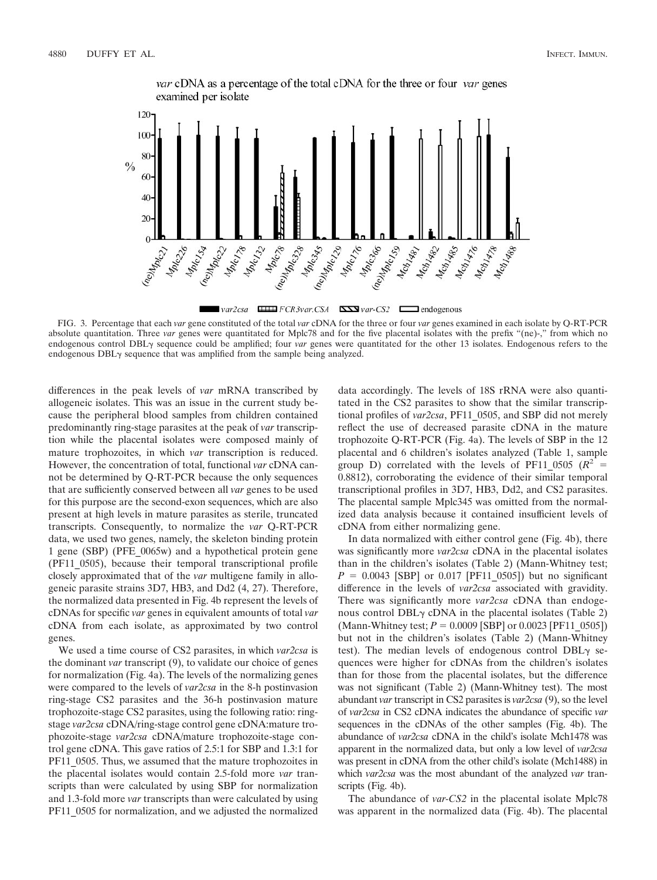

var cDNA as a percentage of the total cDNA for the three or four var genes examined per isolate

 $var2csa$  **EXECUTE:** FCR3var.CSA **EXECUTE:**  $var$ CS2 **EXECUTE:** endogenous

FIG. 3. Percentage that each *var* gene constituted of the total *var* cDNA for the three or four *var* genes examined in each isolate by Q-RT-PCR absolute quantitation. Three *var* genes were quantitated for Mplc78 and for the five placental isolates with the prefix "(ne)-," from which no endogenous control DBL<sub>Y</sub> sequence could be amplified; four *var* genes were quantitated for the other 13 isolates. Endogenous refers to the endogenous  $DBL<sub>\gamma</sub>$  sequence that was amplified from the sample being analyzed.

differences in the peak levels of *var* mRNA transcribed by allogeneic isolates. This was an issue in the current study because the peripheral blood samples from children contained predominantly ring-stage parasites at the peak of *var* transcription while the placental isolates were composed mainly of mature trophozoites, in which *var* transcription is reduced. However, the concentration of total, functional *var* cDNA cannot be determined by Q-RT-PCR because the only sequences that are sufficiently conserved between all *var* genes to be used for this purpose are the second-exon sequences, which are also present at high levels in mature parasites as sterile, truncated transcripts. Consequently, to normalize the *var* Q-RT-PCR data, we used two genes, namely, the skeleton binding protein 1 gene (SBP) (PFE\_0065w) and a hypothetical protein gene (PF11\_0505), because their temporal transcriptional profile closely approximated that of the *var* multigene family in allogeneic parasite strains 3D7, HB3, and Dd2 (4, 27). Therefore, the normalized data presented in Fig. 4b represent the levels of cDNAs for specific *var* genes in equivalent amounts of total *var* cDNA from each isolate, as approximated by two control genes.

We used a time course of CS2 parasites, in which *var2csa* is the dominant *var* transcript (9), to validate our choice of genes for normalization (Fig. 4a). The levels of the normalizing genes were compared to the levels of *var2csa* in the 8-h postinvasion ring-stage CS2 parasites and the 36-h postinvasion mature trophozoite-stage CS2 parasites, using the following ratio: ringstage *var2csa* cDNA/ring-stage control gene cDNA:mature trophozoite-stage *var2csa* cDNA/mature trophozoite-stage control gene cDNA. This gave ratios of 2.5:1 for SBP and 1.3:1 for PF11\_0505. Thus, we assumed that the mature trophozoites in the placental isolates would contain 2.5-fold more *var* transcripts than were calculated by using SBP for normalization and 1.3-fold more *var* transcripts than were calculated by using PF11\_0505 for normalization, and we adjusted the normalized

data accordingly. The levels of 18S rRNA were also quantitated in the CS2 parasites to show that the similar transcriptional profiles of *var2csa*, PF11\_0505, and SBP did not merely reflect the use of decreased parasite cDNA in the mature trophozoite Q-RT-PCR (Fig. 4a). The levels of SBP in the 12 placental and 6 children's isolates analyzed (Table 1, sample group D) correlated with the levels of PF11 0505 ( $R^2$  = 0.8812), corroborating the evidence of their similar temporal transcriptional profiles in 3D7, HB3, Dd2, and CS2 parasites. The placental sample Mplc345 was omitted from the normalized data analysis because it contained insufficient levels of cDNA from either normalizing gene.

In data normalized with either control gene (Fig. 4b), there was significantly more *var2csa* cDNA in the placental isolates than in the children's isolates (Table 2) (Mann-Whitney test;  $P = 0.0043$  [SBP] or 0.017 [PF11\_0505]) but no significant difference in the levels of *var2csa* associated with gravidity. There was significantly more *var2csa* cDNA than endogenous control DBL $\gamma$  cDNA in the placental isolates (Table 2) (Mann-Whitney test;  $P = 0.0009$  [SBP] or 0.0023 [PF11\_0505]) but not in the children's isolates (Table 2) (Mann-Whitney test). The median levels of endogenous control  $DBL\gamma$  sequences were higher for cDNAs from the children's isolates than for those from the placental isolates, but the difference was not significant (Table 2) (Mann-Whitney test). The most abundant *var* transcript in CS2 parasites is *var2csa* (9), so the level of *var2csa* in CS2 cDNA indicates the abundance of specific *var* sequences in the cDNAs of the other samples (Fig. 4b). The abundance of *var2csa* cDNA in the child's isolate Mch1478 was apparent in the normalized data, but only a low level of *var2csa* was present in cDNA from the other child's isolate (Mch1488) in which *var2csa* was the most abundant of the analyzed *var* transcripts (Fig. 4b).

The abundance of *var-CS2* in the placental isolate Mplc78 was apparent in the normalized data (Fig. 4b). The placental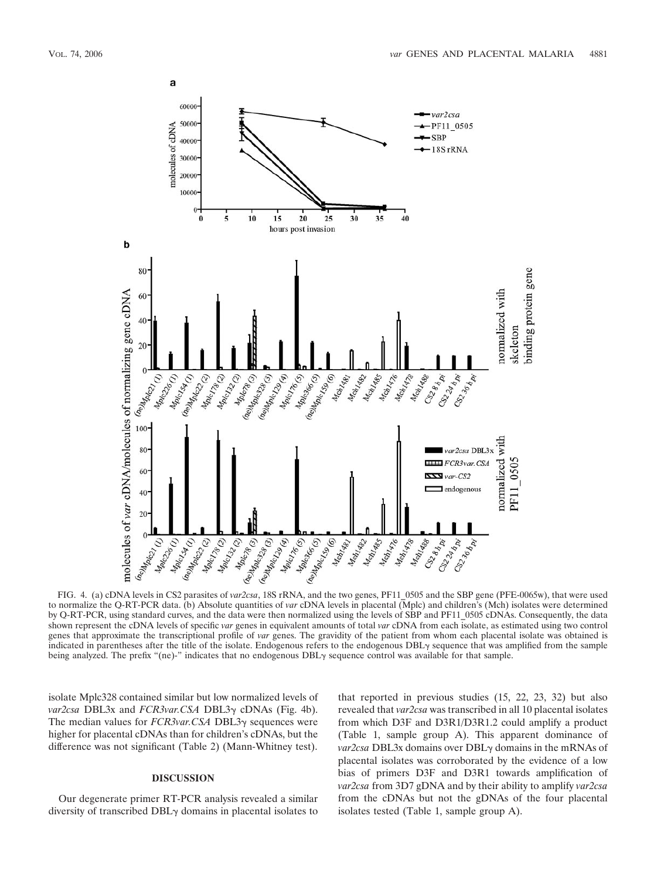

FIG. 4. (a) cDNA levels in CS2 parasites of *var2csa*, 18S rRNA, and the two genes, PF11\_0505 and the SBP gene (PFE-0065w), that were used to normalize the Q-RT-PCR data. (b) Absolute quantities of *var* cDNA levels in placental (Mplc) and children's (Mch) isolates were determined by Q-RT-PCR, using standard curves, and the data were then normalized using the levels of SBP and PF11\_0505 cDNAs. Consequently, the data shown represent the cDNA levels of specific *var* genes in equivalent amounts of total *var* cDNA from each isolate, as estimated using two control genes that approximate the transcriptional profile of *var* genes. The gravidity of the patient from whom each placental isolate was obtained is indicated in parentheses after the title of the isolate. Endogenous refers to the endogenous DBL $\gamma$  sequence that was amplified from the sample being analyzed. The prefix "(ne)-" indicates that no endogenous  $DBL<sub>Y</sub>$  sequence control was available for that sample.

isolate Mplc328 contained similar but low normalized levels of *var2csa* DBL3x and *FCR3var.CSA* DBL3γ cDNAs (Fig. 4b). The median values for *FCR3var.CSA* DBL3γ sequences were higher for placental cDNAs than for children's cDNAs, but the difference was not significant (Table 2) (Mann-Whitney test).

# **DISCUSSION**

Our degenerate primer RT-PCR analysis revealed a similar diversity of transcribed  $DBL<sub>\gamma</sub>$  domains in placental isolates to

that reported in previous studies (15, 22, 23, 32) but also revealed that *var2csa* was transcribed in all 10 placental isolates from which D3F and D3R1/D3R1.2 could amplify a product (Table 1, sample group A). This apparent dominance of *var2csa* DBL3x domains over DBLγ domains in the mRNAs of placental isolates was corroborated by the evidence of a low bias of primers D3F and D3R1 towards amplification of *var2csa* from 3D7 gDNA and by their ability to amplify *var2csa* from the cDNAs but not the gDNAs of the four placental isolates tested (Table 1, sample group A).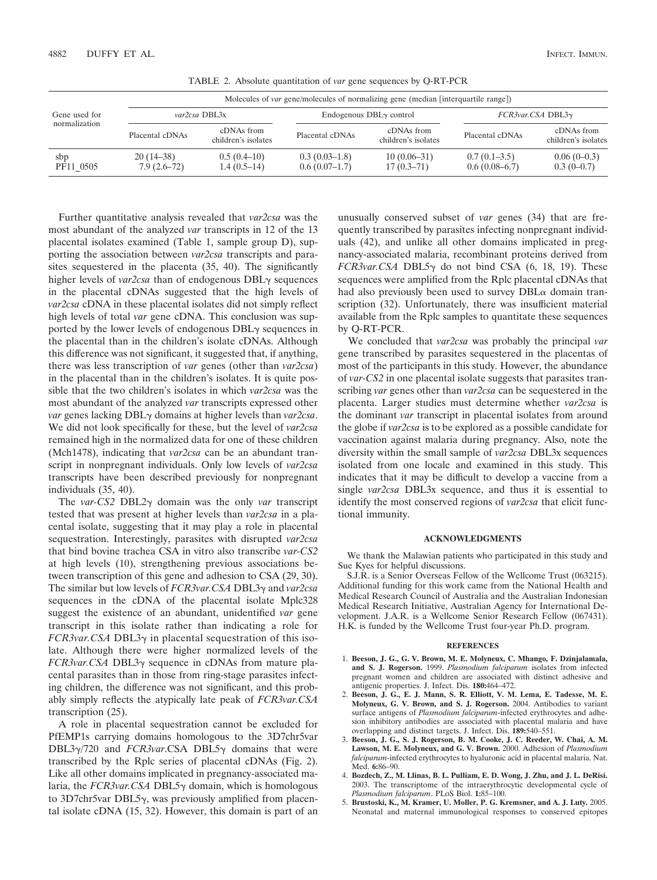|                                | Molecules of <i>var</i> gene/molecules of normalizing gene (median [interquartile range]) |                                   |                                    |                                   |                                   |                                   |  |  |  |  |  |
|--------------------------------|-------------------------------------------------------------------------------------------|-----------------------------------|------------------------------------|-----------------------------------|-----------------------------------|-----------------------------------|--|--|--|--|--|
| Gene used for<br>normalization |                                                                                           | var2csa DBL3x                     |                                    | Endogenous $DBL\gamma$ control    | FCR3var.CSA DBL3y                 |                                   |  |  |  |  |  |
|                                | Placental cDNAs                                                                           | cDNAs from<br>children's isolates | Placental cDNAs                    | cDNAs from<br>children's isolates | Placental cDNAs                   | cDNAs from<br>children's isolates |  |  |  |  |  |
| sbp<br>PF11 0505               | $20(14-38)$<br>$7.9(2.6-72)$                                                              | $0.5(0.4-10)$<br>$1.4(0.5-14)$    | $0.3(0.03-1.8)$<br>$0.6(0.07-1.7)$ | $10(0.06-31)$<br>$17(0.3-71)$     | $0.7(0.1-3.5)$<br>$0.6(0.08-6.7)$ | $0.06(0-0.3)$<br>$0.3(0-0.7)$     |  |  |  |  |  |

TABLE 2. Absolute quantitation of *var* gene sequences by Q-RT-PCR

Further quantitative analysis revealed that *var2csa* was the most abundant of the analyzed *var* transcripts in 12 of the 13 placental isolates examined (Table 1, sample group D), supporting the association between *var2csa* transcripts and parasites sequestered in the placenta (35, 40). The significantly higher levels of *var2csa* than of endogenous  $DBL<sub>Y</sub>$  sequences in the placental cDNAs suggested that the high levels of *var2csa* cDNA in these placental isolates did not simply reflect high levels of total *var* gene cDNA. This conclusion was supported by the lower levels of endogenous  $DBL<sub>\gamma</sub>$  sequences in the placental than in the children's isolate cDNAs. Although this difference was not significant, it suggested that, if anything, there was less transcription of *var* genes (other than *var2csa*) in the placental than in the children's isolates. It is quite possible that the two children's isolates in which *var2csa* was the most abundant of the analyzed *var* transcripts expressed other *var* genes lacking DBL- domains at higher levels than *var2csa*. We did not look specifically for these, but the level of *var2csa* remained high in the normalized data for one of these children (Mch1478), indicating that *var2csa* can be an abundant transcript in nonpregnant individuals. Only low levels of *var2csa* transcripts have been described previously for nonpregnant individuals (35, 40).

The *var-CS2* DBL2 $\gamma$  domain was the only *var* transcript tested that was present at higher levels than *var2csa* in a placental isolate, suggesting that it may play a role in placental sequestration. Interestingly, parasites with disrupted *var2csa* that bind bovine trachea CSA in vitro also transcribe *var-CS2* at high levels (10), strengthening previous associations between transcription of this gene and adhesion to CSA (29, 30). The similar but low levels of *FCR3var*.CSA DBL3γ and *var2csa* sequences in the cDNA of the placental isolate Mplc328 suggest the existence of an abundant, unidentified *var* gene transcript in this isolate rather than indicating a role for  $FCR3var.CSA DBL3\gamma$  in placental sequestration of this isolate. Although there were higher normalized levels of the *FCR3var.CSA* DBL3γ sequence in cDNAs from mature placental parasites than in those from ring-stage parasites infecting children, the difference was not significant, and this probably simply reflects the atypically late peak of *FCR3var.CSA* transcription (25).

A role in placental sequestration cannot be excluded for PfEMP1s carrying domains homologous to the 3D7chr5var  $DBL3\gamma/720$  and *FCR3var*.CSA DBL5 $\gamma$  domains that were transcribed by the Rplc series of placental cDNAs (Fig. 2). Like all other domains implicated in pregnancy-associated malaria, the *FCR3var.CSA* DBL5γ domain, which is homologous to 3D7chr5var DBL5 $\gamma$ , was previously amplified from placental isolate cDNA (15, 32). However, this domain is part of an unusually conserved subset of *var* genes (34) that are frequently transcribed by parasites infecting nonpregnant individuals (42), and unlike all other domains implicated in pregnancy-associated malaria, recombinant proteins derived from  $FCR3var.CSA DBL5\gamma$  do not bind CSA (6, 18, 19). These sequences were amplified from the Rplc placental cDNAs that had also previously been used to survey  $DBL\alpha$  domain transcription (32). Unfortunately, there was insufficient material available from the Rplc samples to quantitate these sequences by Q-RT-PCR.

We concluded that *var2csa* was probably the principal *var* gene transcribed by parasites sequestered in the placentas of most of the participants in this study. However, the abundance of *var-CS2* in one placental isolate suggests that parasites transcribing *var* genes other than *var2csa* can be sequestered in the placenta. Larger studies must determine whether *var2csa* is the dominant *var* transcript in placental isolates from around the globe if *var2csa* is to be explored as a possible candidate for vaccination against malaria during pregnancy. Also, note the diversity within the small sample of *var2csa* DBL3x sequences isolated from one locale and examined in this study. This indicates that it may be difficult to develop a vaccine from a single *var2csa* DBL3x sequence, and thus it is essential to identify the most conserved regions of *var2csa* that elicit functional immunity.

### **ACKNOWLEDGMENTS**

We thank the Malawian patients who participated in this study and Sue Kyes for helpful discussions.

S.J.R. is a Senior Overseas Fellow of the Wellcome Trust (063215). Additional funding for this work came from the National Health and Medical Research Council of Australia and the Australian Indonesian Medical Research Initiative, Australian Agency for International Development. J.A.R. is a Wellcome Senior Research Fellow (067431). H.K. is funded by the Wellcome Trust four-year Ph.D. program.

### **REFERENCES**

- 1. **Beeson, J. G., G. V. Brown, M. E. Molyneux, C. Mhango, F. Dzinjalamala, and S. J. Rogerson.** 1999. *Plasmodium falciparum* isolates from infected pregnant women and children are associated with distinct adhesive and antigenic properties. J. Infect. Dis. **180:**464–472.
- 2. **Beeson, J. G., E. J. Mann, S. R. Elliott, V. M. Lema, E. Tadesse, M. E. Molyneux, G. V. Brown, and S. J. Rogerson.** 2004. Antibodies to variant surface antigens of *Plasmodium falciparum*-infected erythrocytes and adhesion inhibitory antibodies are associated with placental malaria and have overlapping and distinct targets. J. Infect. Dis. **189:**540–551.
- 3. **Beeson, J. G., S. J. Rogerson, B. M. Cooke, J. C. Reeder, W. Chai, A. M. Lawson, M. E. Molyneux, and G. V. Brown.** 2000. Adhesion of *Plasmodium falciparum*-infected erythrocytes to hyaluronic acid in placental malaria. Nat. Med. **6:**86–90.
- 4. **Bozdech, Z., M. Llinas, B. L. Pulliam, E. D. Wong, J. Zhu, and J. L. DeRisi.** 2003. The transcriptome of the intraerythrocytic developmental cycle of *Plasmodium falciparum*. PLoS Biol. **1:**85–100.
- 5. **Brustoski, K., M. Kramer, U. Moller, P. G. Kremsner, and A. J. Luty.** 2005. Neonatal and maternal immunological responses to conserved epitopes